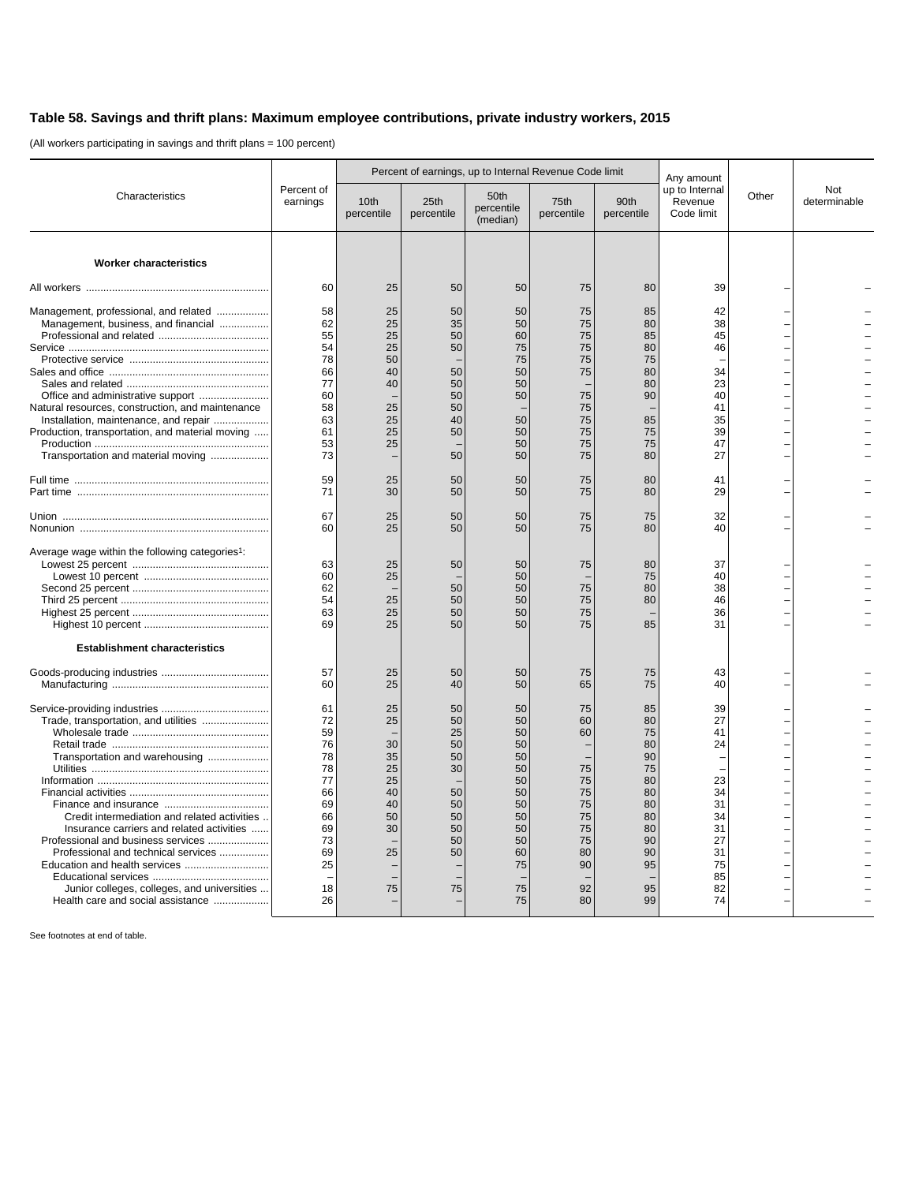## **Table 58. Savings and thrift plans: Maximum employee contributions, private industry workers, 2015**

(All workers participating in savings and thrift plans = 100 percent)

|                                                                                                                                                                                                                                                                                                                                                                       | Percent of<br>earnings                                                                       | Percent of earnings, up to Internal Revenue Code limit               |                                                                            |                                                                                              |                                                                                  |                                                                                              | Any amount                                                                             |       |                     |
|-----------------------------------------------------------------------------------------------------------------------------------------------------------------------------------------------------------------------------------------------------------------------------------------------------------------------------------------------------------------------|----------------------------------------------------------------------------------------------|----------------------------------------------------------------------|----------------------------------------------------------------------------|----------------------------------------------------------------------------------------------|----------------------------------------------------------------------------------|----------------------------------------------------------------------------------------------|----------------------------------------------------------------------------------------|-------|---------------------|
| Characteristics                                                                                                                                                                                                                                                                                                                                                       |                                                                                              | 10th<br>percentile                                                   | 25th<br>percentile                                                         | 50th<br>percentile<br>(median)                                                               | 75th<br>percentile                                                               | 90th<br>percentile                                                                           | up to Internal<br>Revenue<br>Code limit                                                | Other | Not<br>determinable |
| <b>Worker characteristics</b>                                                                                                                                                                                                                                                                                                                                         |                                                                                              |                                                                      |                                                                            |                                                                                              |                                                                                  |                                                                                              |                                                                                        |       |                     |
|                                                                                                                                                                                                                                                                                                                                                                       | 60                                                                                           | 25                                                                   | 50                                                                         | 50                                                                                           | 75                                                                               | 80                                                                                           | 39                                                                                     |       |                     |
| Management, professional, and related<br>Management, business, and financial<br>Natural resources, construction, and maintenance<br>Installation, maintenance, and repair<br>Production, transportation, and material moving<br>Transportation and material moving                                                                                                    | 58<br>62<br>55<br>54<br>78<br>66<br>77<br>60<br>58<br>63<br>61<br>53<br>73                   | 25<br>25<br>25<br>25<br>50<br>40<br>40<br>25<br>25<br>25<br>25       | 50<br>35<br>50<br>50<br>50<br>50<br>50<br>50<br>40<br>50<br>50             | 50<br>50<br>60<br>75<br>75<br>50<br>50<br>50<br>50<br>50<br>50<br>50                         | 75<br>75<br>75<br>75<br>75<br>75<br>75<br>75<br>75<br>75<br>75<br>75             | 85<br>80<br>85<br>80<br>75<br>80<br>80<br>90<br>85<br>75<br>75<br>80                         | 42<br>38<br>45<br>46<br>34<br>23<br>40<br>41<br>35<br>39<br>47<br>27                   |       |                     |
|                                                                                                                                                                                                                                                                                                                                                                       | 59<br>71                                                                                     | 25<br>30                                                             | 50<br>50                                                                   | 50<br>50                                                                                     | 75<br>75                                                                         | 80<br>80                                                                                     | 41<br>29                                                                               |       |                     |
|                                                                                                                                                                                                                                                                                                                                                                       | 67<br>60                                                                                     | 25<br>25                                                             | 50<br>50                                                                   | 50<br>50                                                                                     | 75<br>75                                                                         | 75<br>80                                                                                     | 32<br>40                                                                               |       |                     |
| Average wage within the following categories <sup>1</sup> :<br><b>Establishment characteristics</b>                                                                                                                                                                                                                                                                   | 63<br>60<br>62<br>54<br>63<br>69                                                             | 25<br>25<br>25<br>25<br>25                                           | 50<br>50<br>50<br>50<br>50                                                 | 50<br>50<br>50<br>50<br>50<br>50                                                             | 75<br>75<br>75<br>75<br>75                                                       | 80<br>75<br>80<br>80<br>85                                                                   | 37<br>40<br>38<br>46<br>36<br>31                                                       |       |                     |
|                                                                                                                                                                                                                                                                                                                                                                       | 57<br>60                                                                                     | 25<br>25                                                             | 50<br>40                                                                   | 50<br>50                                                                                     | 75<br>65                                                                         | 75<br>75                                                                                     | 43<br>40                                                                               |       |                     |
| Trade, transportation, and utilities<br>Transportation and warehousing<br>Credit intermediation and related activities<br>Insurance carriers and related activities<br>Professional and business services<br>Professional and technical services<br>Education and health services<br>Junior colleges, colleges, and universities<br>Health care and social assistance | 61<br>72<br>59<br>76<br>78<br>78<br>77<br>66<br>69<br>66<br>69<br>73<br>69<br>25<br>18<br>26 | 25<br>25<br>30<br>35<br>25<br>25<br>40<br>40<br>50<br>30<br>25<br>75 | 50<br>50<br>25<br>50<br>50<br>30<br>50<br>50<br>50<br>50<br>50<br>50<br>75 | 50<br>50<br>50<br>50<br>50<br>50<br>50<br>50<br>50<br>50<br>50<br>50<br>60<br>75<br>75<br>75 | 75<br>60<br>60<br>75<br>75<br>75<br>75<br>75<br>75<br>75<br>80<br>90<br>92<br>80 | 85<br>80<br>75<br>80<br>90<br>75<br>80<br>80<br>80<br>80<br>80<br>90<br>90<br>95<br>95<br>99 | 39<br>27<br>41<br>24<br>23<br>34<br>31<br>34<br>31<br>27<br>31<br>75<br>85<br>82<br>74 |       |                     |

See footnotes at end of table.